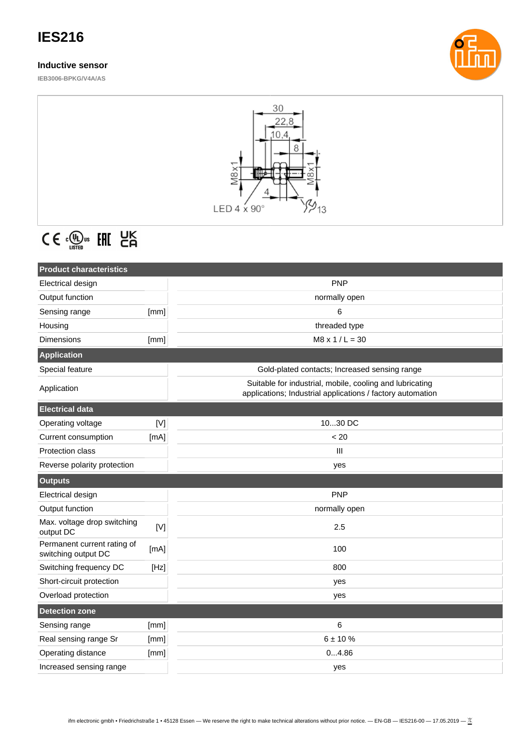# **IES216**

### **Inductive sensor**

**IEB3006-BPKG/V4A/AS**





# $C \in \mathbb{C}^{\text{op}}_{\text{user}}$  EHI  $\text{EK}_{\text{G}}$

| <b>Product characteristics</b>                     |      |                                                                                                                        |
|----------------------------------------------------|------|------------------------------------------------------------------------------------------------------------------------|
| Electrical design                                  |      | <b>PNP</b>                                                                                                             |
| Output function                                    |      | normally open                                                                                                          |
| Sensing range                                      | [mm] | 6                                                                                                                      |
| Housing                                            |      | threaded type                                                                                                          |
| Dimensions                                         | [mm] | $M8 \times 1 / L = 30$                                                                                                 |
| <b>Application</b>                                 |      |                                                                                                                        |
| Special feature                                    |      | Gold-plated contacts; Increased sensing range                                                                          |
| Application                                        |      | Suitable for industrial, mobile, cooling and lubricating<br>applications; Industrial applications / factory automation |
| <b>Electrical data</b>                             |      |                                                                                                                        |
| Operating voltage                                  | [V]  | 1030 DC                                                                                                                |
| Current consumption                                | [mA] | < 20                                                                                                                   |
| <b>Protection class</b>                            |      | Ш                                                                                                                      |
| Reverse polarity protection                        |      | yes                                                                                                                    |
| <b>Outputs</b>                                     |      |                                                                                                                        |
|                                                    |      |                                                                                                                        |
| Electrical design                                  |      | <b>PNP</b>                                                                                                             |
| Output function                                    |      | normally open                                                                                                          |
| Max. voltage drop switching<br>output DC           | [V]  | 2.5                                                                                                                    |
| Permanent current rating of<br>switching output DC | [mA] | 100                                                                                                                    |
| Switching frequency DC                             | [Hz] | 800                                                                                                                    |
| Short-circuit protection                           |      | yes                                                                                                                    |
| Overload protection                                |      | yes                                                                                                                    |
| <b>Detection zone</b>                              |      |                                                                                                                        |
| Sensing range                                      | [mm] | 6                                                                                                                      |
| Real sensing range Sr                              | [mm] | 6 ± 10 %                                                                                                               |
| Operating distance                                 | [mm] | 04.86                                                                                                                  |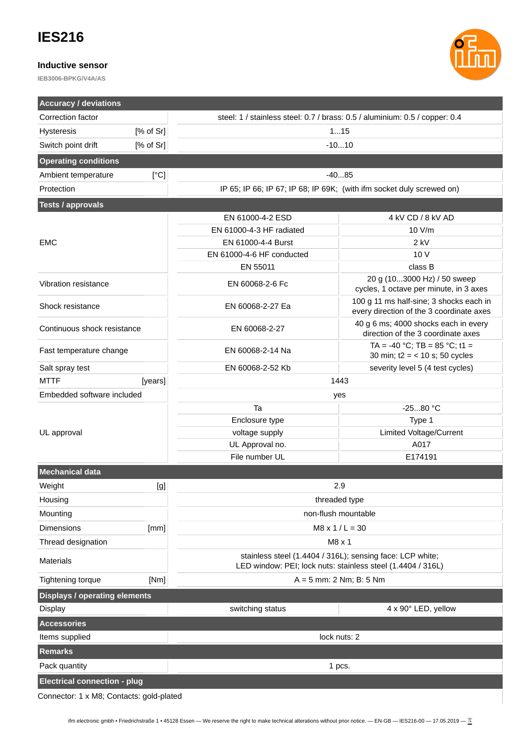## **IES216**

#### **Inductive sensor**

**IEB3006-BPKG/V4A/AS**



Connector: 1 x M8; Contacts: gold-plated